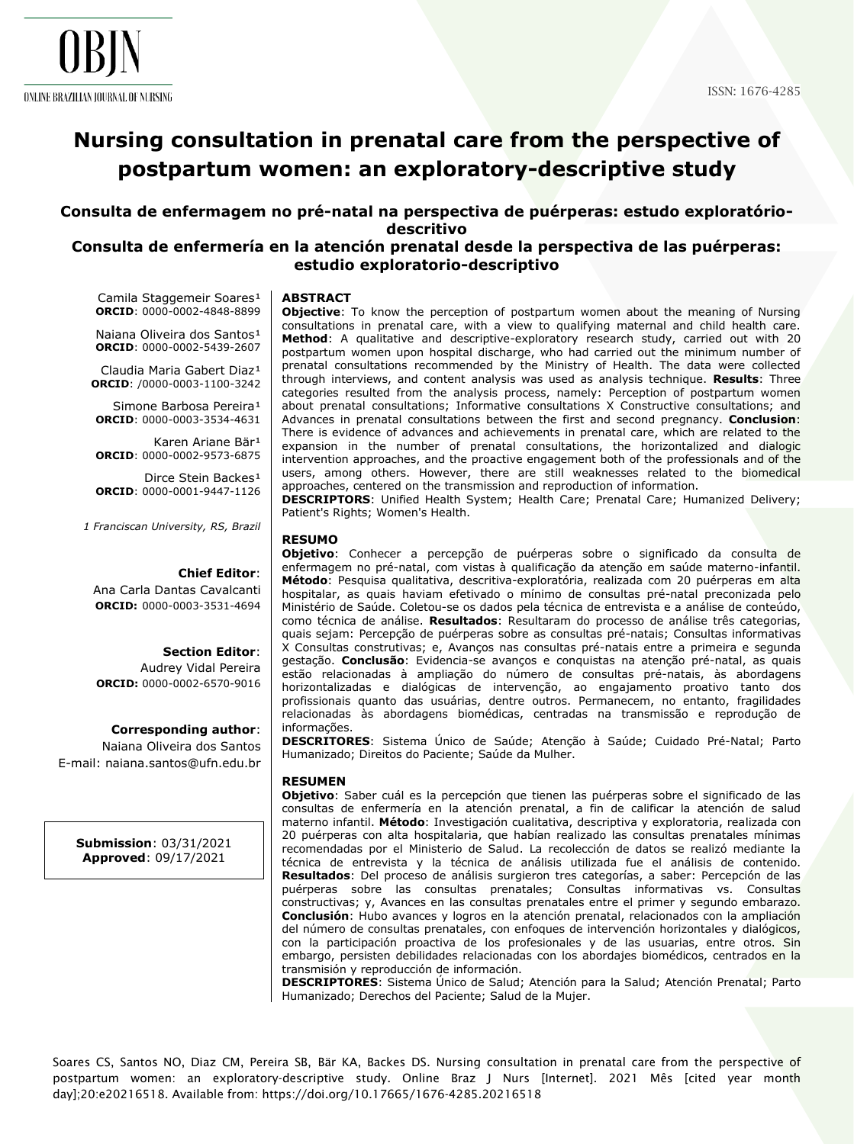# **Nursing consultation in prenatal care from the perspective of postpartum women: an exploratory-descriptive study**

## **Consulta de enfermagem no pré-natal na perspectiva de puérperas: estudo exploratóriodescritivo**

## **Consulta de enfermería en la atención prenatal desde la perspectiva de las puérperas: estudio exploratorio-descriptivo**

#### **ABSTRACT**

Camila Staggemeir Soares<sup>1</sup> **ORCID**: [0000-0002-4848-8899](https://orcid.org/0000-0002-4848-8899)

Naiana Oliveira dos Santos<sup>1</sup> **ORCID**: [0000-0002-5439-2607](https://orcid.org/0000-0002-5439-2607)

Claudia Maria Gabert Diaz<sup>1</sup> **ORCID**: [/0000-0003-1100-3242](https://orcid.org/0000-0003-1100-3242)

Simone Barbosa Pereira<sup>1</sup> **ORCID**: [0000-0003-3534-4631](https://orcid.org/0000-0003-3534-4631)

Karen Ariane Bär<sup>1</sup> **ORCID**: [0000-0002-9573-6875](https://orcid.org/0000-0002-9573-6875)

Dirce Stein Backes<sup>1</sup> **ORCID**: [0000-0001-9447-1126](https://orcid.org/0000-0001-9447-1126)

*1 Franciscan University, RS, Brazil*

#### **Chief Editor**:

Ana Carla Dantas Cavalcanti **ORCID:** [0000-0003-3531-4694](https://orcid.org/0000-0003-3531-4694)

#### **Section Editor**:

Audrey Vidal Pereira **ORCID:** [0000-0002-6570-9016](https://orcid.org/0000-0002-6717-9223)

#### **Corresponding author**:

Naiana Oliveira dos Santos E-mail: [naiana.santos@ufn.edu.br](mailto:naiana.santos@ufn.edu.br) 

**Submission**: 03/31/2021 **Approved**: 09/17/2021

**Objective**: To know the perception of postpartum women about the meaning of Nursing consultations in prenatal care, with a view to qualifying maternal and child health care. **Method**: A qualitative and descriptive-exploratory research study, carried out with 20 postpartum women upon hospital discharge, who had carried out the minimum number of prenatal consultations recommended by the Ministry of Health. The data were collected through interviews, and content analysis was used as analysis technique. **Results**: Three categories resulted from the analysis process, namely: Perception of postpartum women about prenatal consultations; Informative consultations X Constructive consultations; and Advances in prenatal consultations between the first and second pregnancy. **Conclusion**: There is evidence of advances and achievements in prenatal care, which are related to the expansion in the number of prenatal consultations, the horizontalized and dialogic intervention approaches, and the proactive engagement both of the professionals and of the users, among others. However, there are still weaknesses related to the biomedical approaches, centered on the transmission and reproduction of information.

**DESCRIPTORS**: Unified Health System; Health Care; Prenatal Care; Humanized Delivery; Patient's Rights; Women's Health.

#### **RESUMO**

**Objetivo**: Conhecer a percepção de puérperas sobre o significado da consulta de enfermagem no pré-natal, com vistas à qualificação da atenção em saúde materno-infantil. **Método**: Pesquisa qualitativa, descritiva-exploratória, realizada com 20 puérperas em alta hospitalar, as quais haviam efetivado o mínimo de consultas pré-natal preconizada pelo Ministério de Saúde. Coletou-se os dados pela técnica de entrevista e a análise de conteúdo, como técnica de análise. **Resultados**: Resultaram do processo de análise três categorias, quais sejam: Percepção de puérperas sobre as consultas pré-natais; Consultas informativas X Consultas construtivas; e, Avanços nas consultas pré-natais entre a primeira e segunda gestação. **Conclusão**: Evidencia-se avanços e conquistas na atenção pré-natal, as quais estão relacionadas à ampliação do número de consultas pré-natais, às abordagens horizontalizadas e dialógicas de intervenção, ao engajamento proativo tanto dos profissionais quanto das usuárias, dentre outros. Permanecem, no entanto, fragilidades relacionadas às abordagens biomédicas, centradas na transmissão e reprodução de informações.

**DESCRITORES**: Sistema Único de Saúde; Atenção à Saúde; Cuidado Pré-Natal; Parto Humanizado; Direitos do Paciente; Saúde da Mulher.

#### **RESUMEN**

**Objetivo**: Saber cuál es la percepción que tienen las puérperas sobre el significado de las consultas de enfermería en la atención prenatal, a fin de calificar la atención de salud materno infantil. **Método**: Investigación cualitativa, descriptiva y exploratoria, realizada con 20 puérperas con alta hospitalaria, que habían realizado las consultas prenatales mínimas recomendadas por el Ministerio de Salud. La recolección de datos se realizó mediante la técnica de entrevista y la técnica de análisis utilizada fue el análisis de contenido. **Resultados**: Del proceso de análisis surgieron tres categorías, a saber: Percepción de las puérperas sobre las consultas prenatales; Consultas informativas vs. Consultas constructivas; y, Avances en las consultas prenatales entre el primer y segundo embarazo. **Conclusión**: Hubo avances y logros en la atención prenatal, relacionados con la ampliación del número de consultas prenatales, con enfoques de intervención horizontales y dialógicos, con la participación proactiva de los profesionales y de las usuarias, entre otros. Sin embargo, persisten debilidades relacionadas con los abordajes biomédicos, centrados en la transmisión y reproducción de información.

**DESCRIPTORES**: Sistema Único de Salud; Atención para la Salud; Atención Prenatal; Parto Humanizado; Derechos del Paciente; Salud de la Mujer.

Soares CS, Santos NO, Diaz CM, Pereira SB, Bär KA, Backes DS. Nursing consultation in prenatal care from the perspective of postpartum women: an exploratory-descriptive study. Online Braz J Nurs [Internet]. 2021 Mês [cited year month day];20:e20216518. Available from[: https://doi.org/10.17665/1676-4285.20216518](https://doi.org/10.17665/1676-4285.20216518)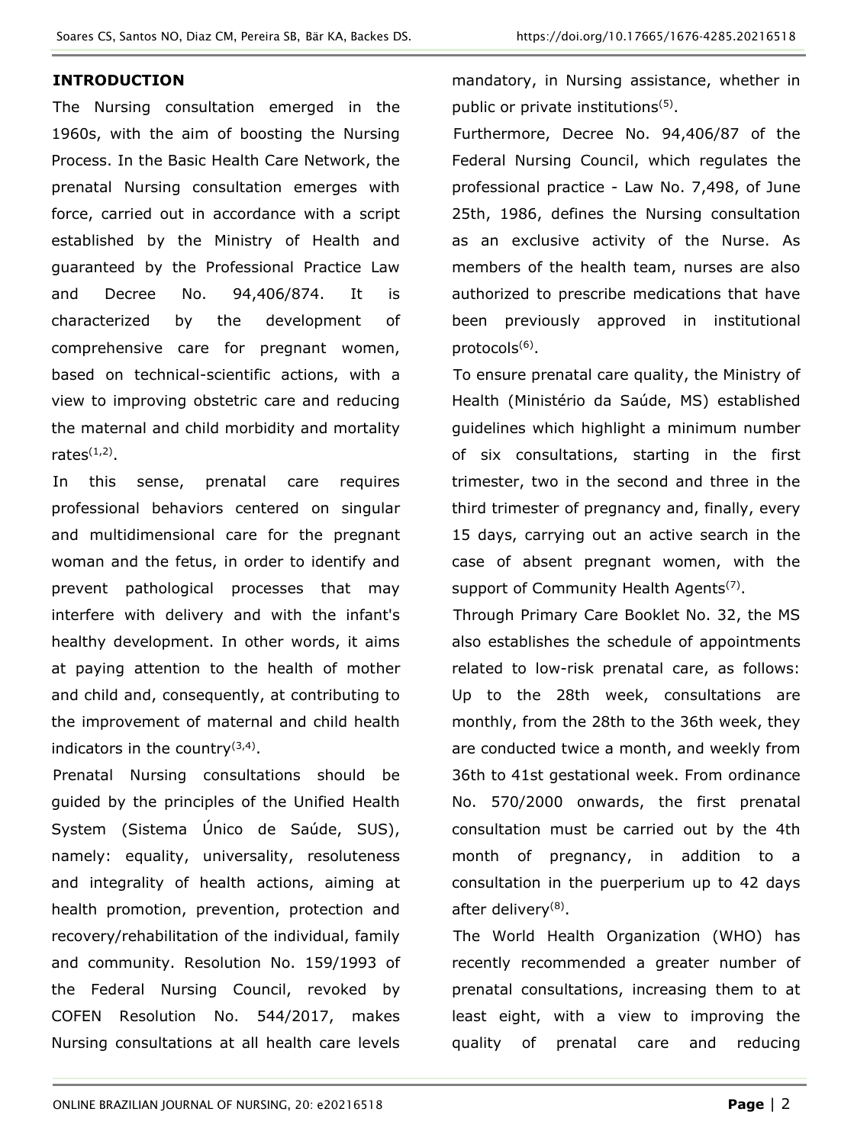## **INTRODUCTION**

The Nursing consultation emerged in the 1960s, with the aim of boosting the Nursing Process. In the Basic Health Care Network, the prenatal Nursing consultation emerges with force, carried out in accordance with a script established by the Ministry of Health and guaranteed by the Professional Practice Law and Decree No. 94,406/874. It is characterized by the development of comprehensive care for pregnant women, based on technical-scientific actions, with a view to improving obstetric care and reducing the maternal and child morbidity and mortality rates $(1,2)$ .

In this sense, prenatal care requires professional behaviors centered on singular and multidimensional care for the pregnant woman and the fetus, in order to identify and prevent pathological processes that may interfere with delivery and with the infant's healthy development. In other words, it aims at paying attention to the health of mother and child and, consequently, at contributing to the improvement of maternal and child health indicators in the country $(3,4)$ .

Prenatal Nursing consultations should be guided by the principles of the Unified Health System (Sistema Único de Saúde, SUS), namely: equality, universality, resoluteness and integrality of health actions, aiming at health promotion, prevention, protection and recovery/rehabilitation of the individual, family and community. Resolution No. 159/1993 of the Federal Nursing Council, revoked by COFEN Resolution No. 544/2017, makes Nursing consultations at all health care levels

mandatory, in Nursing assistance, whether in public or private institutions<sup>(5)</sup>.

Furthermore, Decree No. 94,406/87 of the Federal Nursing Council, which regulates the professional practice - Law No. 7,498, of June 25th, 1986, defines the Nursing consultation as an exclusive activity of the Nurse. As members of the health team, nurses are also authorized to prescribe medications that have been previously approved in institutional protocols<sup>(6)</sup>.

To ensure prenatal care quality, the Ministry of Health (Ministério da Saúde, MS) established guidelines which highlight a minimum number of six consultations, starting in the first trimester, two in the second and three in the third trimester of pregnancy and, finally, every 15 days, carrying out an active search in the case of absent pregnant women, with the support of Community Health Agents<sup>(7)</sup>.

Through Primary Care Booklet No. 32, the MS also establishes the schedule of appointments related to low-risk prenatal care, as follows: Up to the 28th week, consultations are monthly, from the 28th to the 36th week, they are conducted twice a month, and weekly from 36th to 41st gestational week. From ordinance No. 570/2000 onwards, the first prenatal consultation must be carried out by the 4th month of pregnancy, in addition to a consultation in the puerperium up to 42 days after delivery<sup>(8)</sup>.

The World Health Organization (WHO) has recently recommended a greater number of prenatal consultations, increasing them to at least eight, with a view to improving the quality of prenatal care and reducing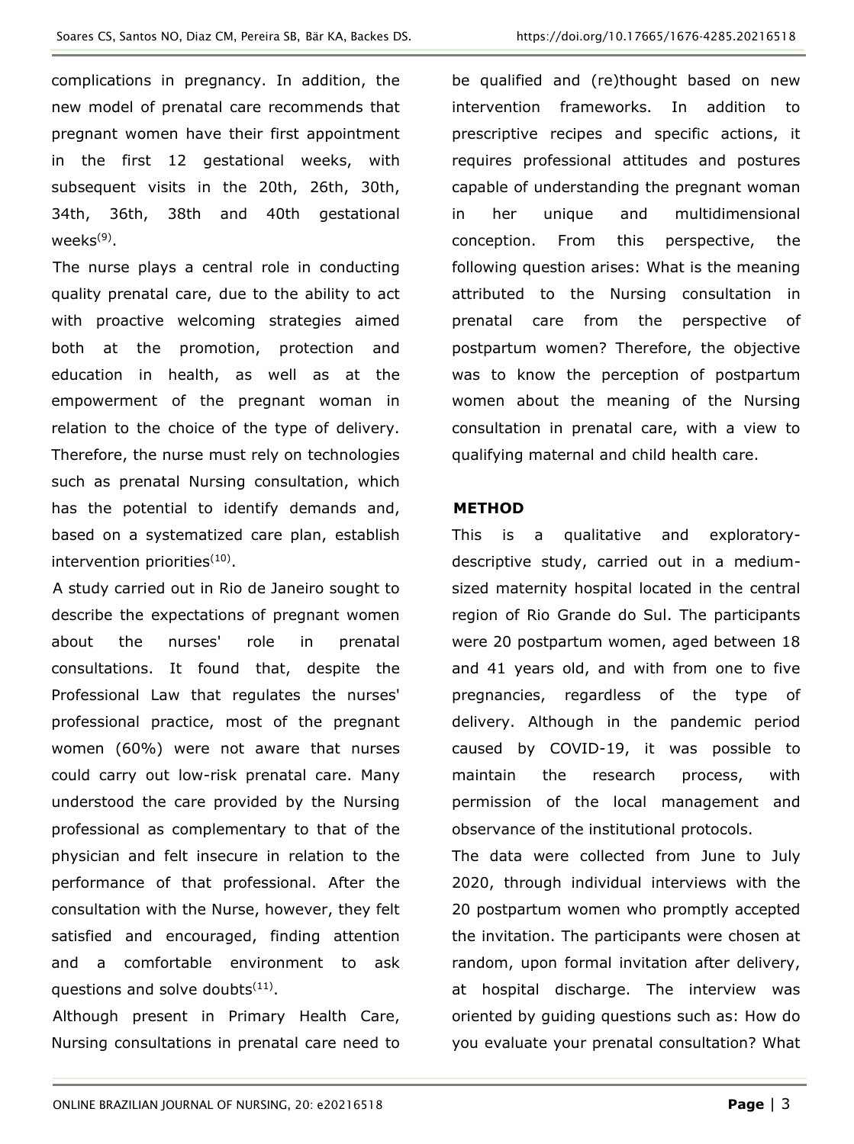complications in pregnancy. In addition, the new model of prenatal care recommends that pregnant women have their first appointment in the first 12 gestational weeks, with subsequent visits in the 20th, 26th, 30th, 34th, 36th, 38th and 40th gestational weeks<sup>(9)</sup>.

The nurse plays a central role in conducting quality prenatal care, due to the ability to act with proactive welcoming strategies aimed both at the promotion, protection and education in health, as well as at the empowerment of the pregnant woman in relation to the choice of the type of delivery. Therefore, the nurse must rely on technologies such as prenatal Nursing consultation, which has the potential to identify demands and, based on a systematized care plan, establish intervention priorities<sup>(10)</sup>.

A study carried out in Rio de Janeiro sought to describe the expectations of pregnant women about the nurses' role in prenatal consultations. It found that, despite the Professional Law that regulates the nurses' professional practice, most of the pregnant women (60%) were not aware that nurses could carry out low-risk prenatal care. Many understood the care provided by the Nursing professional as complementary to that of the physician and felt insecure in relation to the performance of that professional. After the consultation with the Nurse, however, they felt satisfied and encouraged, finding attention and a comfortable environment to ask questions and solve doubts $(11)$ .

Although present in Primary Health Care, Nursing consultations in prenatal care need to

be qualified and (re)thought based on new intervention frameworks. In addition to prescriptive recipes and specific actions, it requires professional attitudes and postures capable of understanding the pregnant woman in her unique and multidimensional conception. From this perspective, the following question arises: What is the meaning attributed to the Nursing consultation in prenatal care from the perspective of postpartum women? Therefore, the objective was to know the perception of postpartum women about the meaning of the Nursing consultation in prenatal care, with a view to qualifying maternal and child health care.

### **METHOD**

This is a qualitative and exploratorydescriptive study, carried out in a mediumsized maternity hospital located in the central region of Rio Grande do Sul. The participants were 20 postpartum women, aged between 18 and 41 years old, and with from one to five pregnancies, regardless of the type of delivery. Although in the pandemic period caused by COVID-19, it was possible to maintain the research process, with permission of the local management and observance of the institutional protocols.

The data were collected from June to July 2020, through individual interviews with the 20 postpartum women who promptly accepted the invitation. The participants were chosen at random, upon formal invitation after delivery, at hospital discharge. The interview was oriented by guiding questions such as: How do you evaluate your prenatal consultation? What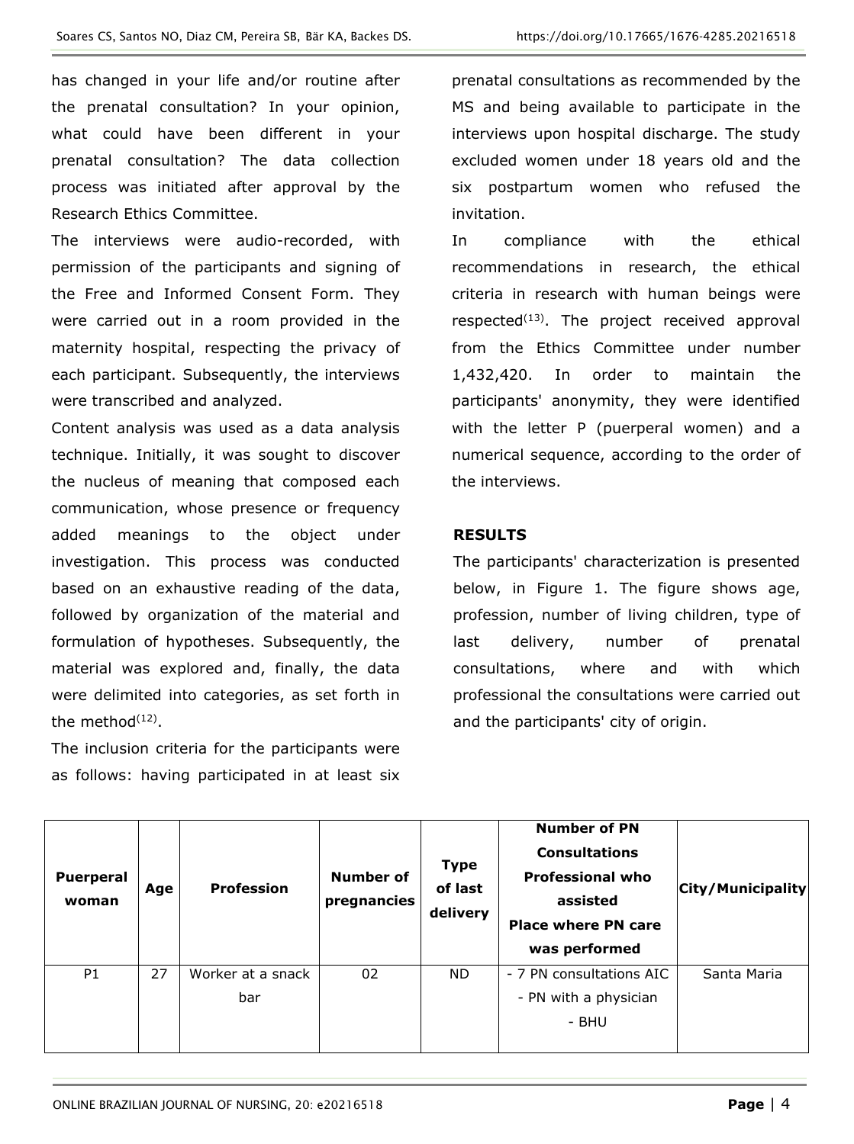has changed in your life and/or routine after the prenatal consultation? In your opinion, what could have been different in your prenatal consultation? The data collection process was initiated after approval by the Research Ethics Committee.

The interviews were audio-recorded, with permission of the participants and signing of the Free and Informed Consent Form. They were carried out in a room provided in the maternity hospital, respecting the privacy of each participant. Subsequently, the interviews were transcribed and analyzed.

Content analysis was used as a data analysis technique. Initially, it was sought to discover the nucleus of meaning that composed each communication, whose presence or frequency added meanings to the object under investigation. This process was conducted based on an exhaustive reading of the data, followed by organization of the material and formulation of hypotheses. Subsequently, the material was explored and, finally, the data were delimited into categories, as set forth in the method<sup>(12)</sup>.

The inclusion criteria for the participants were as follows: having participated in at least six prenatal consultations as recommended by the MS and being available to participate in the interviews upon hospital discharge. The study excluded women under 18 years old and the six postpartum women who refused the invitation.

In compliance with the ethical recommendations in research, the ethical criteria in research with human beings were respected<sup>(13)</sup>. The project received approval from the Ethics Committee under number 1,432,420. In order to maintain the participants' anonymity, they were identified with the letter P (puerperal women) and a numerical sequence, according to the order of the interviews.

## **RESULTS**

The participants' characterization is presented below, in Figure 1. The figure shows age, profession, number of living children, type of last delivery, number of prenatal consultations, where and with which professional the consultations were carried out and the participants' city of origin.

| <b>Puerperal</b><br>woman | Age | <b>Profession</b>        | <b>Number of</b><br>pregnancies | <b>Type</b><br>of last<br>delivery | <b>Number of PN</b><br><b>Consultations</b><br><b>Professional who</b><br>assisted<br><b>Place where PN care</b><br>was performed | <b>City/Municipality</b> |
|---------------------------|-----|--------------------------|---------------------------------|------------------------------------|-----------------------------------------------------------------------------------------------------------------------------------|--------------------------|
| P <sub>1</sub>            | 27  | Worker at a snack<br>bar | 02                              | <b>ND</b>                          | - 7 PN consultations AIC<br>- PN with a physician<br>- BHU                                                                        | Santa Maria              |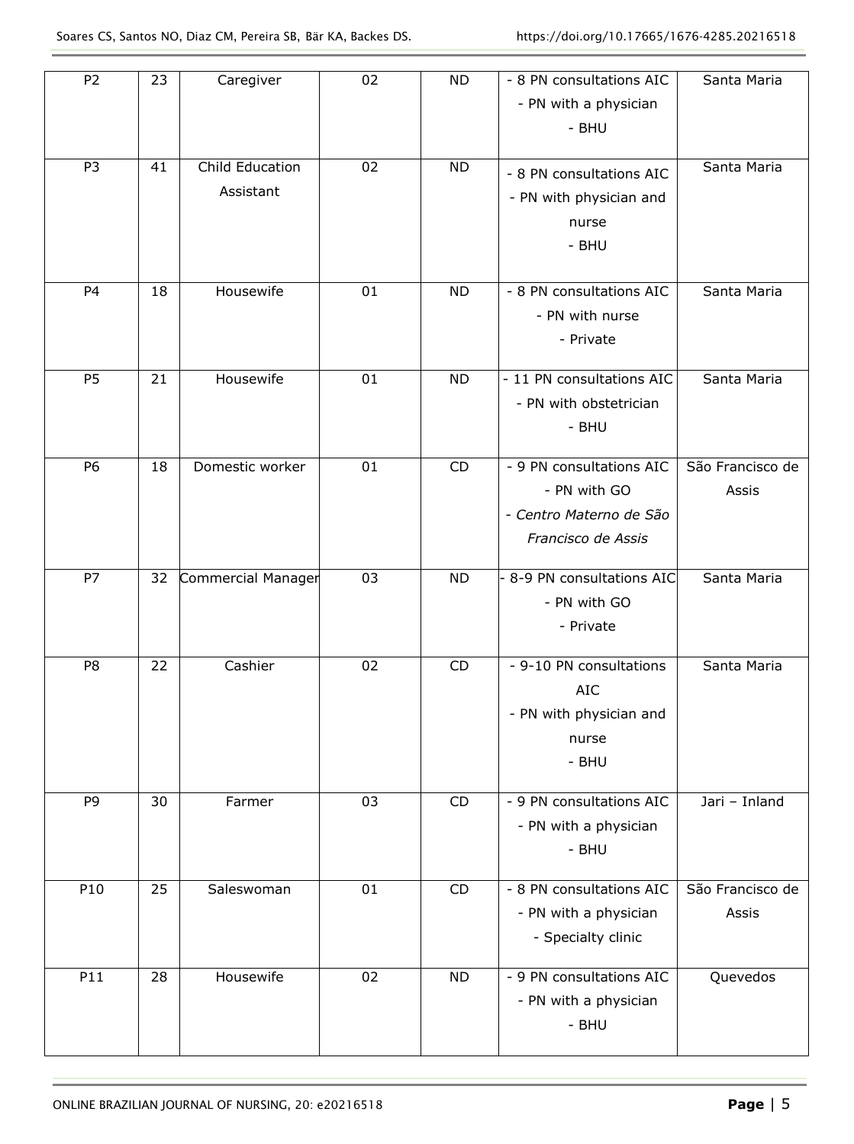| P <sub>2</sub> | 23 | Caregiver          | 02 | <b>ND</b> | - 8 PN consultations AIC  | Santa Maria      |
|----------------|----|--------------------|----|-----------|---------------------------|------------------|
|                |    |                    |    |           | - PN with a physician     |                  |
|                |    |                    |    |           | - BHU                     |                  |
|                |    |                    |    |           |                           |                  |
| P <sub>3</sub> | 41 | Child Education    | 02 | <b>ND</b> | - 8 PN consultations AIC  | Santa Maria      |
|                |    | Assistant          |    |           | - PN with physician and   |                  |
|                |    |                    |    |           | nurse                     |                  |
|                |    |                    |    |           | - BHU                     |                  |
|                |    |                    |    |           |                           |                  |
| P <sub>4</sub> | 18 | Housewife          | 01 | <b>ND</b> | - 8 PN consultations AIC  | Santa Maria      |
|                |    |                    |    |           | - PN with nurse           |                  |
|                |    |                    |    |           | - Private                 |                  |
|                |    |                    |    |           |                           |                  |
| P <sub>5</sub> | 21 | Housewife          | 01 | <b>ND</b> | - 11 PN consultations AIC | Santa Maria      |
|                |    |                    |    |           | - PN with obstetrician    |                  |
|                |    |                    |    |           | - BHU                     |                  |
| P6             | 18 | Domestic worker    | 01 | CD        | - 9 PN consultations AIC  | São Francisco de |
|                |    |                    |    |           | - PN with GO              | Assis            |
|                |    |                    |    |           | - Centro Materno de São   |                  |
|                |    |                    |    |           | Francisco de Assis        |                  |
|                |    |                    |    |           |                           |                  |
| P7             | 32 | Commercial Manager | 03 | <b>ND</b> | 8-9 PN consultations AIC  | Santa Maria      |
|                |    |                    |    |           | - PN with GO              |                  |
|                |    |                    |    |           | - Private                 |                  |
|                |    |                    |    |           |                           |                  |
|                |    |                    |    |           |                           |                  |
| P8             | 22 | Cashier            | 02 | CD        | - 9-10 PN consultations   | Santa Maria      |
|                |    |                    |    |           | <b>AIC</b>                |                  |
|                |    |                    |    |           | - PN with physician and   |                  |
|                |    |                    |    |           | nurse                     |                  |
|                |    |                    |    |           | - BHU                     |                  |
| P9             | 30 | Farmer             | 03 | CD        | - 9 PN consultations AIC  | Jari - Inland    |
|                |    |                    |    |           | - PN with a physician     |                  |
|                |    |                    |    |           | - BHU                     |                  |
|                |    |                    |    |           |                           |                  |
| P10            | 25 | Saleswoman         | 01 | CD        | - 8 PN consultations AIC  | São Francisco de |
|                |    |                    |    |           | - PN with a physician     | Assis            |
|                |    |                    |    |           | - Specialty clinic        |                  |
|                |    |                    |    |           |                           |                  |
| P11            | 28 | Housewife          | 02 | <b>ND</b> | - 9 PN consultations AIC  | Quevedos         |
|                |    |                    |    |           | - PN with a physician     |                  |
|                |    |                    |    |           | - BHU                     |                  |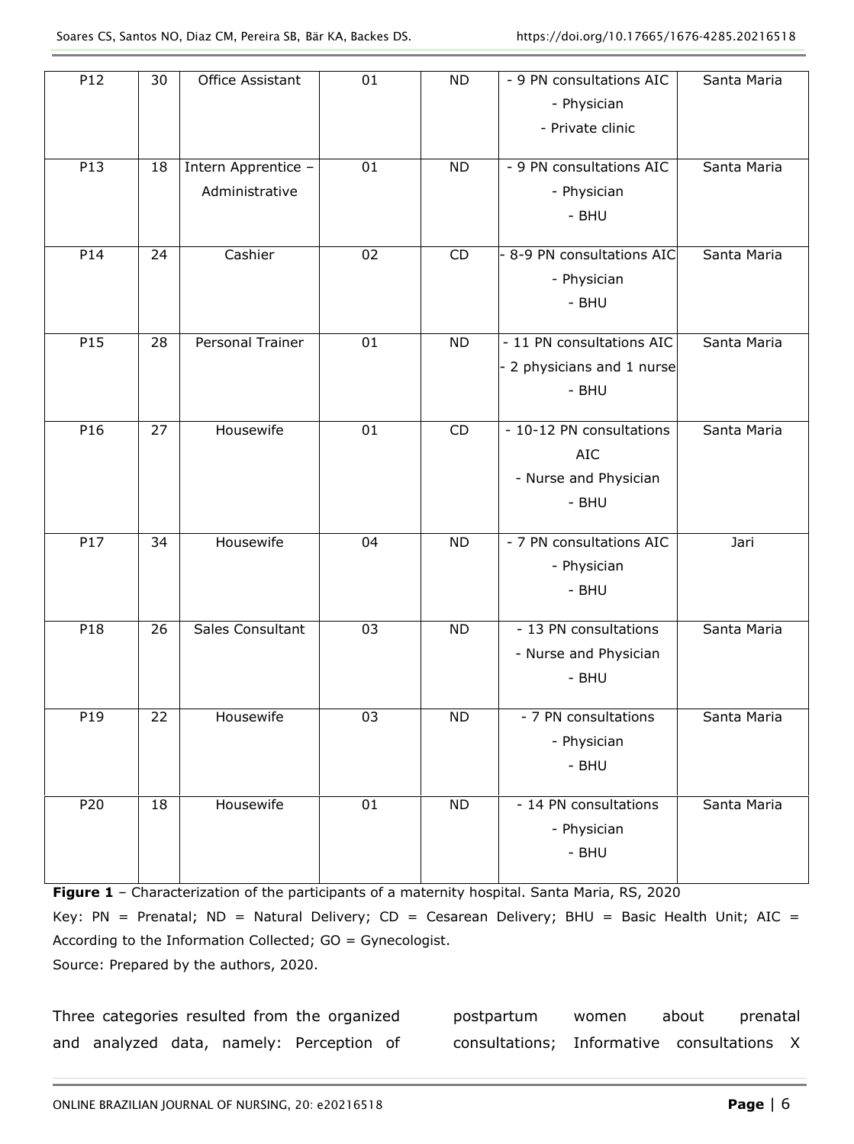| P12             | 30              | Office Assistant    | 01              | <b>ND</b>       | - 9 PN consultations AIC   | Santa Maria |
|-----------------|-----------------|---------------------|-----------------|-----------------|----------------------------|-------------|
|                 |                 |                     |                 |                 | - Physician                |             |
|                 |                 |                     |                 |                 | - Private clinic           |             |
|                 |                 |                     |                 |                 |                            |             |
| P13             | 18              | Intern Apprentice - | 01              | <b>ND</b>       | - 9 PN consultations AIC   | Santa Maria |
|                 |                 | Administrative      |                 |                 | - Physician                |             |
|                 |                 |                     |                 |                 | - BHU                      |             |
|                 |                 |                     |                 |                 |                            |             |
| P14             | 24              | Cashier             | 02              | CD              | - 8-9 PN consultations AIC | Santa Maria |
|                 |                 |                     |                 |                 | - Physician                |             |
|                 |                 |                     |                 |                 | - BHU                      |             |
|                 |                 |                     |                 |                 |                            |             |
| P15             | 28              | Personal Trainer    | 01              | <b>ND</b>       | - 11 PN consultations AIC  | Santa Maria |
|                 |                 |                     |                 |                 | 2 physicians and 1 nurse   |             |
|                 |                 |                     |                 |                 | - BHU                      |             |
|                 |                 |                     |                 |                 |                            |             |
| P16             | 27              | Housewife           | 01              | CD              | - 10-12 PN consultations   | Santa Maria |
|                 |                 |                     |                 |                 | <b>AIC</b>                 |             |
|                 |                 |                     |                 |                 | - Nurse and Physician      |             |
|                 |                 |                     |                 |                 | - BHU                      |             |
|                 |                 |                     |                 |                 |                            |             |
| P17             | 34              | Housewife           | 04              | <b>ND</b>       | - 7 PN consultations AIC   | Jari        |
|                 |                 |                     |                 |                 | - Physician                |             |
|                 |                 |                     |                 |                 | - BHU                      |             |
|                 |                 |                     |                 |                 |                            |             |
| P18             | 26              | Sales Consultant    | 03              | <b>ND</b>       | - 13 PN consultations      | Santa Maria |
|                 |                 |                     |                 |                 | - Nurse and Physician      |             |
|                 |                 |                     |                 |                 | - BHU                      |             |
|                 |                 |                     |                 |                 |                            |             |
| P19             | 22              | Housewife           | 03              | <b>ND</b>       | - 7 PN consultations       | Santa Maria |
|                 |                 |                     |                 |                 | - Physician                |             |
|                 |                 |                     |                 |                 | - BHU                      |             |
|                 |                 |                     |                 |                 |                            |             |
| P <sub>20</sub> | $\overline{18}$ | Housewife           | $\overline{01}$ | $\overline{ND}$ | - 14 PN consultations      | Santa Maria |
|                 |                 |                     |                 |                 | - Physician                |             |
|                 |                 |                     |                 |                 | - BHU                      |             |
|                 |                 |                     |                 |                 |                            |             |

**Figure 1** – Characterization of the participants of a maternity hospital. Santa Maria, RS, 2020 Key: PN = Prenatal; ND = Natural Delivery; CD = Cesarean Delivery; BHU = Basic Health Unit; AIC = According to the Information Collected; GO = Gynecologist. Source: Prepared by the authors, 2020.

Three categories resulted from the organized and analyzed data, namely: Perception of

postpartum women about prenatal consultations; Informative consultations X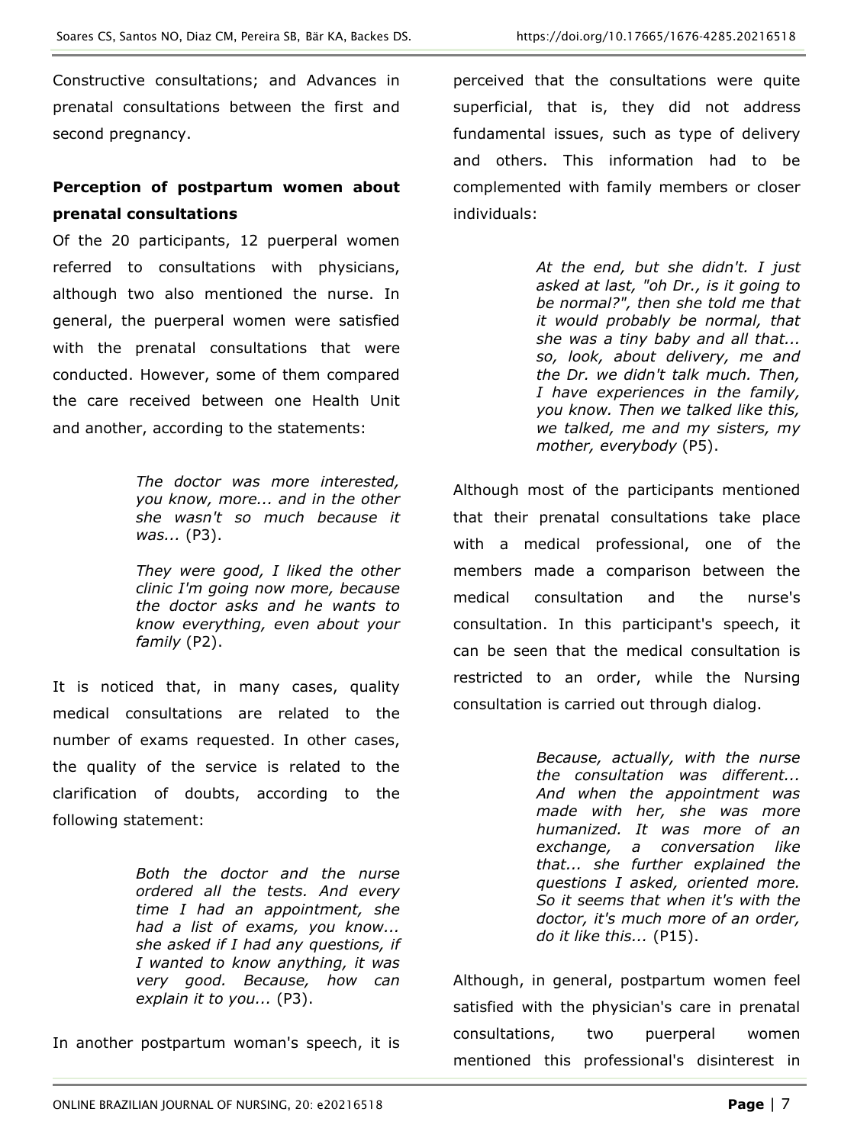Constructive consultations; and Advances in prenatal consultations between the first and second pregnancy.

## **Perception of postpartum women about prenatal consultations**

Of the 20 participants, 12 puerperal women referred to consultations with physicians, although two also mentioned the nurse. In general, the puerperal women were satisfied with the prenatal consultations that were conducted. However, some of them compared the care received between one Health Unit and another, according to the statements:

> *The doctor was more interested, you know, more... and in the other she wasn't so much because it was...* (P3).

> *They were good, I liked the other clinic I'm going now more, because the doctor asks and he wants to know everything, even about your family* (P2).

It is noticed that, in many cases, quality medical consultations are related to the number of exams requested. In other cases, the quality of the service is related to the clarification of doubts, according to the following statement:

> *Both the doctor and the nurse ordered all the tests. And every time I had an appointment, she had a list of exams, you know... she asked if I had any questions, if I wanted to know anything, it was very good. Because, how can explain it to you...* (P3).

In another postpartum woman's speech, it is

perceived that the consultations were quite superficial, that is, they did not address fundamental issues, such as type of delivery and others. This information had to be complemented with family members or closer individuals:

> *At the end, but she didn't. I just asked at last, "oh Dr., is it going to be normal?", then she told me that it would probably be normal, that she was a tiny baby and all that... so, look, about delivery, me and the Dr. we didn't talk much. Then, I have experiences in the family, you know. Then we talked like this, we talked, me and my sisters, my mother, everybody* (P5).

Although most of the participants mentioned that their prenatal consultations take place with a medical professional, one of the members made a comparison between the medical consultation and the nurse's consultation. In this participant's speech, it can be seen that the medical consultation is restricted to an order, while the Nursing consultation is carried out through dialog.

> *Because, actually, with the nurse the consultation was different... And when the appointment was made with her, she was more humanized. It was more of an exchange, a conversation like that... she further explained the questions I asked, oriented more. So it seems that when it's with the doctor, it's much more of an order, do it like this...* (P15).

Although, in general, postpartum women feel satisfied with the physician's care in prenatal consultations, two puerperal women mentioned this professional's disinterest in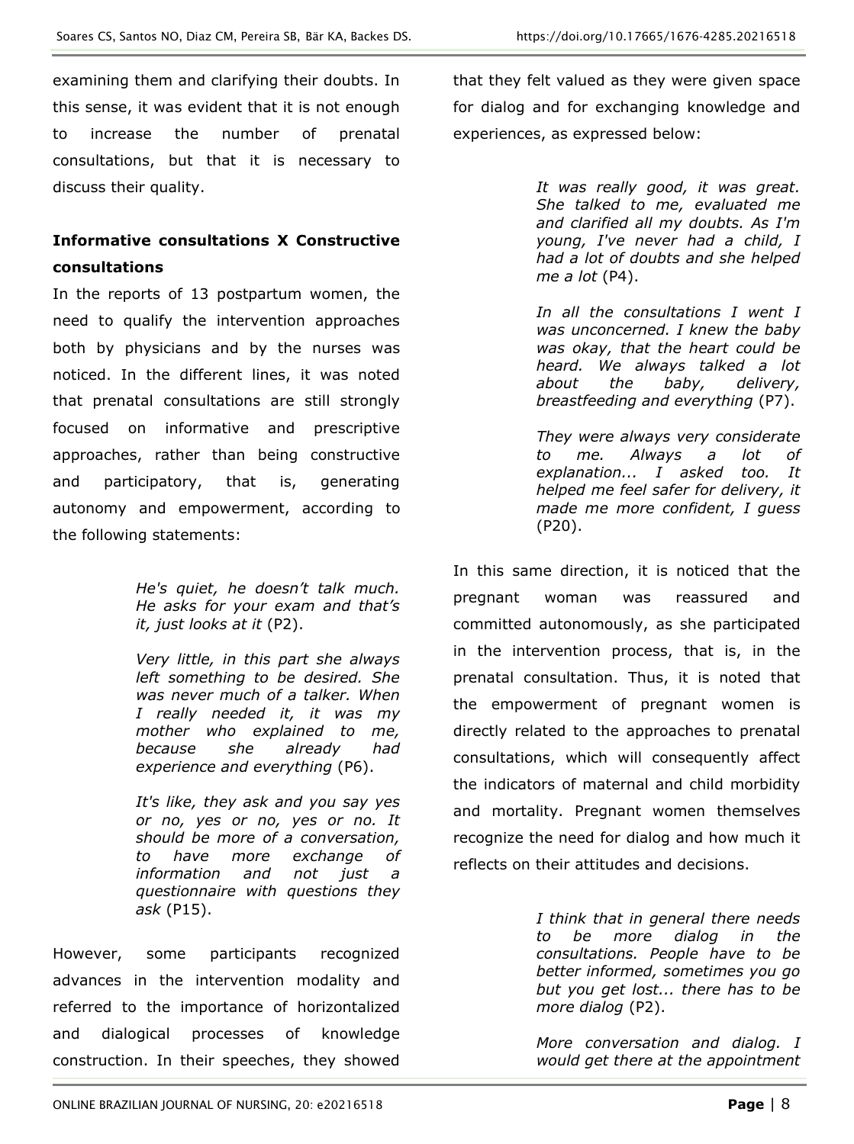examining them and clarifying their doubts. In this sense, it was evident that it is not enough to increase the number of prenatal consultations, but that it is necessary to discuss their quality.

## **Informative consultations X Constructive consultations**

In the reports of 13 postpartum women, the need to qualify the intervention approaches both by physicians and by the nurses was noticed. In the different lines, it was noted that prenatal consultations are still strongly focused on informative and prescriptive approaches, rather than being constructive and participatory, that is, generating autonomy and empowerment, according to the following statements:

> *He's quiet, he doesn't talk much. He asks for your exam and that's it, just looks at it* (P2).

*Very little, in this part she always left something to be desired. She was never much of a talker. When I really needed it, it was my mother who explained to me, because she already had experience and everything* (P6).

*It's like, they ask and you say yes or no, yes or no, yes or no. It should be more of a conversation, to have more exchange of information and not just a questionnaire with questions they ask* (P15).

However, some participants recognized advances in the intervention modality and referred to the importance of horizontalized and dialogical processes of knowledge construction. In their speeches, they showed

that they felt valued as they were given space for dialog and for exchanging knowledge and experiences, as expressed below:

> *It was really good, it was great. She talked to me, evaluated me and clarified all my doubts. As I'm young, I've never had a child, I had a lot of doubts and she helped me a lot* (P4).

> *In all the consultations I went I was unconcerned. I knew the baby was okay, that the heart could be heard. We always talked a lot about the baby, delivery, breastfeeding and everything* (P7).

> *They were always very considerate to me. Always a lot of explanation... I asked too. It helped me feel safer for delivery, it made me more confident, I guess*  (P20).

In this same direction, it is noticed that the pregnant woman was reassured and committed autonomously, as she participated in the intervention process, that is, in the prenatal consultation. Thus, it is noted that the empowerment of pregnant women is directly related to the approaches to prenatal consultations, which will consequently affect the indicators of maternal and child morbidity and mortality. Pregnant women themselves recognize the need for dialog and how much it reflects on their attitudes and decisions.

> *I think that in general there needs to be more dialog in the consultations. People have to be better informed, sometimes you go but you get lost... there has to be more dialog* (P2).

> *More conversation and dialog. I would get there at the appointment*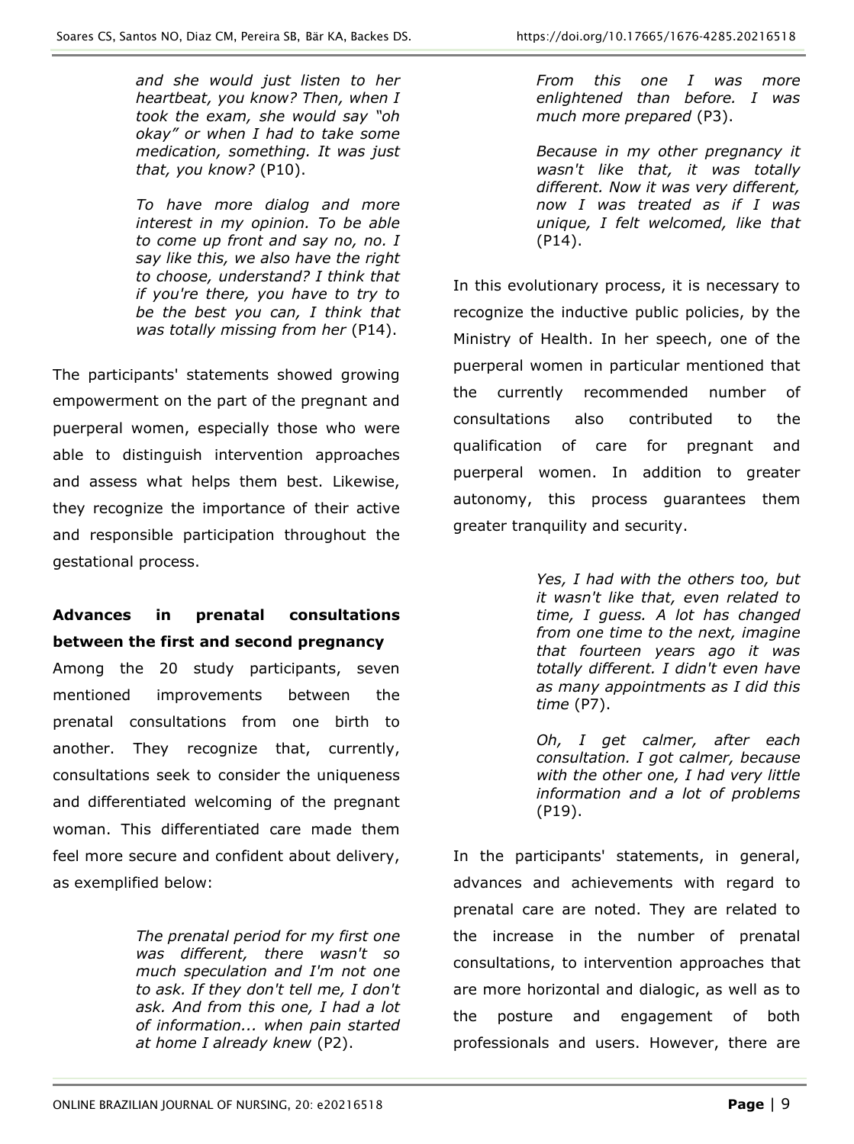*and she would just listen to her heartbeat, you know? Then, when I took the exam, she would say "oh okay" or when I had to take some medication, something. It was just that, you know?* (P10).

*To have more dialog and more interest in my opinion. To be able to come up front and say no, no. I say like this, we also have the right to choose, understand? I think that if you're there, you have to try to be the best you can, I think that was totally missing from her* (P14).

The participants' statements showed growing empowerment on the part of the pregnant and puerperal women, especially those who were able to distinguish intervention approaches and assess what helps them best. Likewise, they recognize the importance of their active and responsible participation throughout the gestational process.

## **Advances in prenatal consultations between the first and second pregnancy**

Among the 20 study participants, seven mentioned improvements between the prenatal consultations from one birth to another. They recognize that, currently, consultations seek to consider the uniqueness and differentiated welcoming of the pregnant woman. This differentiated care made them feel more secure and confident about delivery, as exemplified below:

> *The prenatal period for my first one was different, there wasn't so much speculation and I'm not one to ask. If they don't tell me, I don't ask. And from this one, I had a lot of information... when pain started at home I already knew* (P2).

*From this one I was more enlightened than before. I was much more prepared* (P3).

*Because in my other pregnancy it wasn't like that, it was totally different. Now it was very different, now I was treated as if I was unique, I felt welcomed, like that*  (P14).

In this evolutionary process, it is necessary to recognize the inductive public policies, by the Ministry of Health. In her speech, one of the puerperal women in particular mentioned that the currently recommended number of consultations also contributed to the qualification of care for pregnant and puerperal women. In addition to greater autonomy, this process guarantees them greater tranquility and security.

> *Yes, I had with the others too, but it wasn't like that, even related to time, I guess. A lot has changed from one time to the next, imagine that fourteen years ago it was totally different. I didn't even have as many appointments as I did this time* (P7).

> *Oh, I get calmer, after each consultation. I got calmer, because with the other one, I had very little information and a lot of problems* (P19).

In the participants' statements, in general, advances and achievements with regard to prenatal care are noted. They are related to the increase in the number of prenatal consultations, to intervention approaches that are more horizontal and dialogic, as well as to the posture and engagement of both professionals and users. However, there are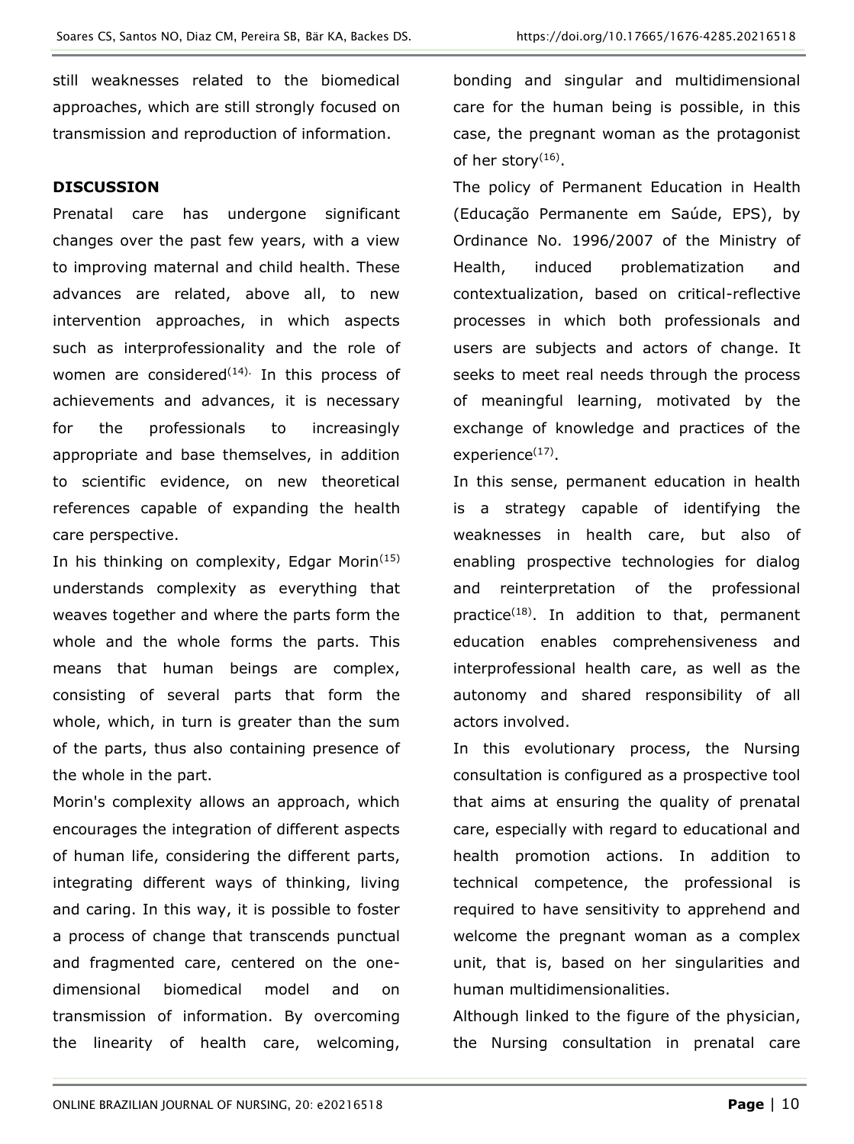still weaknesses related to the biomedical approaches, which are still strongly focused on transmission and reproduction of information.

#### **DISCUSSION**

Prenatal care has undergone significant changes over the past few years, with a view to improving maternal and child health. These advances are related, above all, to new intervention approaches, in which aspects such as interprofessionality and the role of women are considered $(14)$ . In this process of achievements and advances, it is necessary for the professionals to increasingly appropriate and base themselves, in addition to scientific evidence, on new theoretical references capable of expanding the health care perspective.

In his thinking on complexity, Edgar Morin<sup>(15)</sup> understands complexity as everything that weaves together and where the parts form the whole and the whole forms the parts. This means that human beings are complex, consisting of several parts that form the whole, which, in turn is greater than the sum of the parts, thus also containing presence of the whole in the part.

Morin's complexity allows an approach, which encourages the integration of different aspects of human life, considering the different parts, integrating different ways of thinking, living and caring. In this way, it is possible to foster a process of change that transcends punctual and fragmented care, centered on the onedimensional biomedical model and on transmission of information. By overcoming the linearity of health care, welcoming,

bonding and singular and multidimensional care for the human being is possible, in this case, the pregnant woman as the protagonist of her story<sup>(16)</sup>.

The policy of Permanent Education in Health (Educação Permanente em Saúde, EPS), by Ordinance No. 1996/2007 of the Ministry of Health, induced problematization and contextualization, based on critical-reflective processes in which both professionals and users are subjects and actors of change. It seeks to meet real needs through the process of meaningful learning, motivated by the exchange of knowledge and practices of the experience<sup>(17)</sup>.

In this sense, permanent education in health is a strategy capable of identifying the weaknesses in health care, but also of enabling prospective technologies for dialog and reinterpretation of the professional practice<sup> $(18)$ </sup>. In addition to that, permanent education enables comprehensiveness and interprofessional health care, as well as the autonomy and shared responsibility of all actors involved.

In this evolutionary process, the Nursing consultation is configured as a prospective tool that aims at ensuring the quality of prenatal care, especially with regard to educational and health promotion actions. In addition to technical competence, the professional is required to have sensitivity to apprehend and welcome the pregnant woman as a complex unit, that is, based on her singularities and human multidimensionalities.

Although linked to the figure of the physician, the Nursing consultation in prenatal care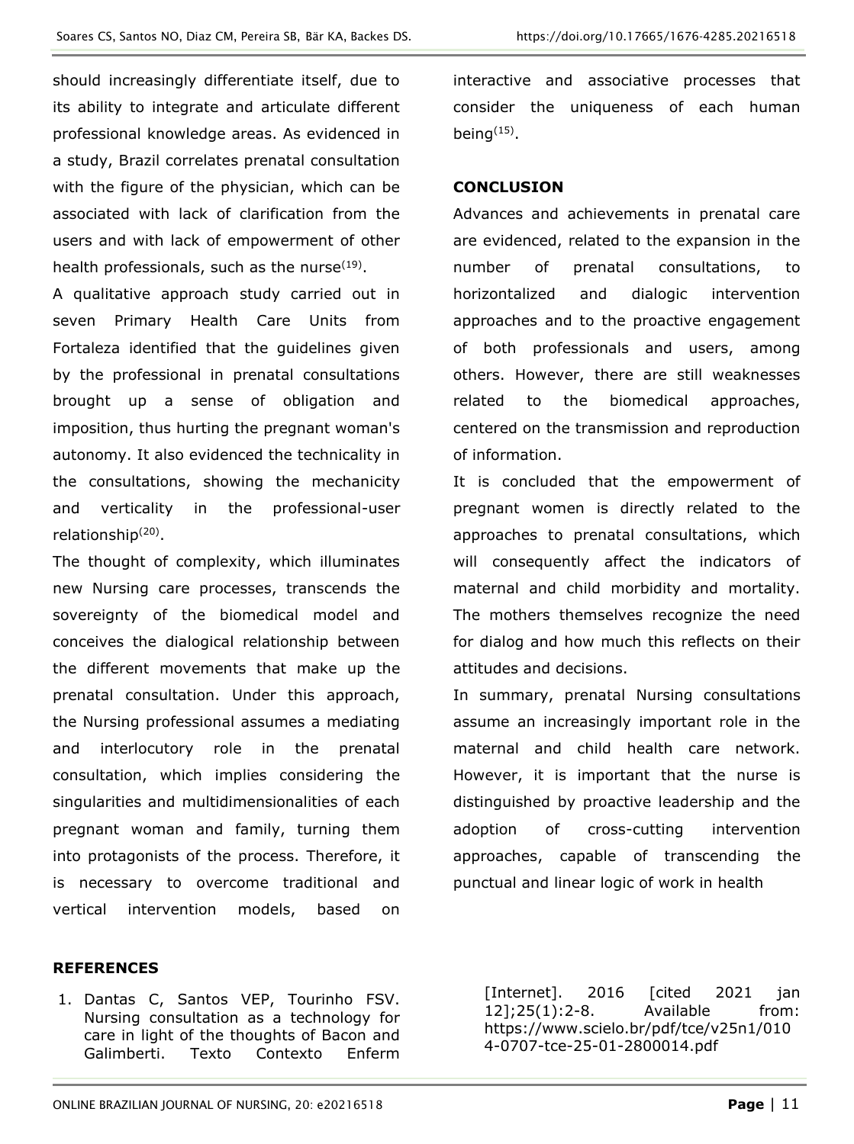should increasingly differentiate itself, due to its ability to integrate and articulate different professional knowledge areas. As evidenced in a study, Brazil correlates prenatal consultation with the figure of the physician, which can be associated with lack of clarification from the users and with lack of empowerment of other health professionals, such as the nurse $(19)$ .

A qualitative approach study carried out in seven Primary Health Care Units from Fortaleza identified that the guidelines given by the professional in prenatal consultations brought up a sense of obligation and imposition, thus hurting the pregnant woman's autonomy. It also evidenced the technicality in the consultations, showing the mechanicity and verticality in the professional-user relationship<sup>(20)</sup>.

The thought of complexity, which illuminates new Nursing care processes, transcends the sovereignty of the biomedical model and conceives the dialogical relationship between the different movements that make up the prenatal consultation. Under this approach, the Nursing professional assumes a mediating and interlocutory role in the prenatal consultation, which implies considering the singularities and multidimensionalities of each pregnant woman and family, turning them into protagonists of the process. Therefore, it is necessary to overcome traditional and vertical intervention models, based on

### **REFERENCES**

1. Dantas C, Santos VEP, Tourinho FSV. Nursing consultation as a technology for care in light of the thoughts of Bacon and Galimberti. Texto Contexto Enferm

interactive and associative processes that consider the uniqueness of each human being $(15)$ .

### **CONCLUSION**

Advances and achievements in prenatal care are evidenced, related to the expansion in the number of prenatal consultations, to horizontalized and dialogic intervention approaches and to the proactive engagement of both professionals and users, among others. However, there are still weaknesses related to the biomedical approaches, centered on the transmission and reproduction of information.

It is concluded that the empowerment of pregnant women is directly related to the approaches to prenatal consultations, which will consequently affect the indicators of maternal and child morbidity and mortality. The mothers themselves recognize the need for dialog and how much this reflects on their attitudes and decisions.

In summary, prenatal Nursing consultations assume an increasingly important role in the maternal and child health care network. However, it is important that the nurse is distinguished by proactive leadership and the adoption of cross-cutting intervention approaches, capable of transcending the punctual and linear logic of work in health

[Internet]. 2016 [cited 2021 jan 12];25(1):2-8. Available from: [https://www.scielo.br/pdf/tce/v25n1/010](https://www.scielo.br/pdf/tce/v25n1/0104-0707-tce-25-01-2800014.pdf) [4-0707-tce-25-01-2800014.pdf](https://www.scielo.br/pdf/tce/v25n1/0104-0707-tce-25-01-2800014.pdf)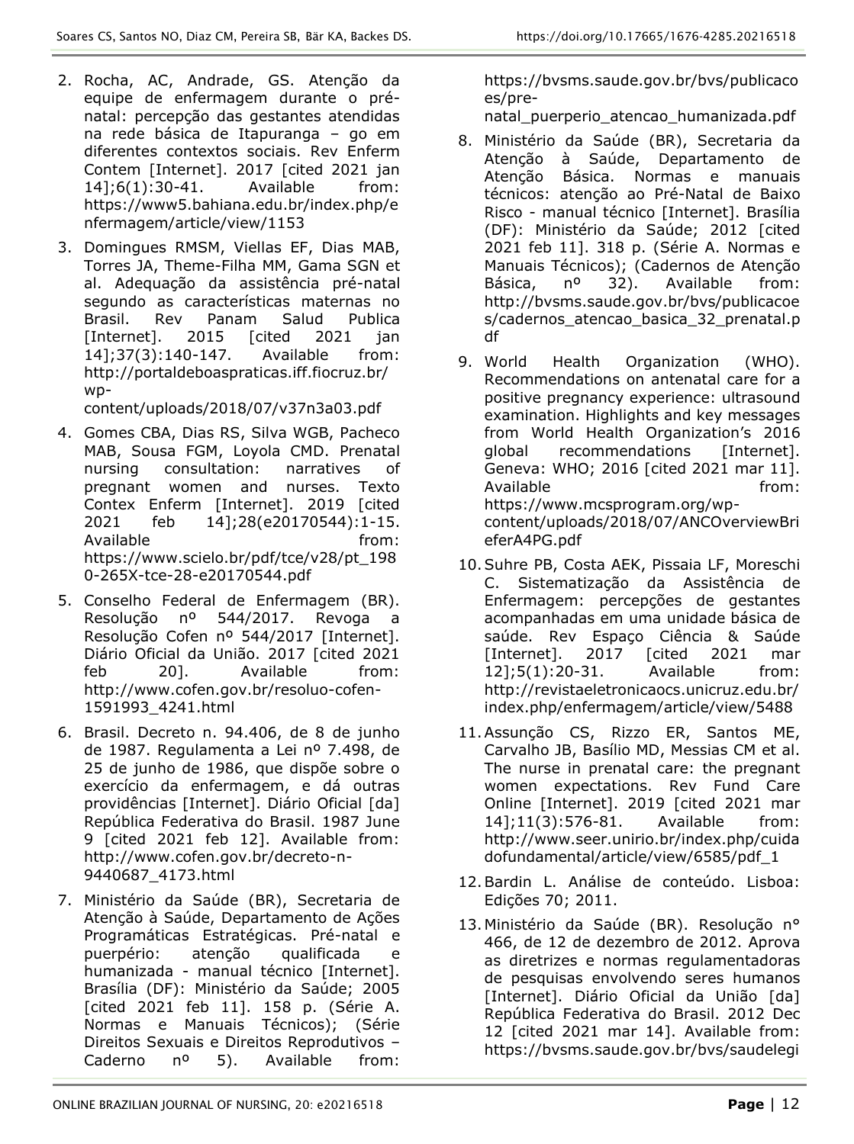- 2. Rocha, AC, Andrade, GS. Atenção da equipe de enfermagem durante o prénatal: percepção das gestantes atendidas na rede básica de Itapuranga – go em diferentes contextos sociais. Rev Enferm Contem [Internet]. 2017 [cited 2021 jan 14];6(1):30-41. Available from: [https://www5.bahiana.edu.br/index.php/e](https://www5.bahiana.edu.br/index.php/enfermagem/article/view/1153) [nfermagem/article/view/1153](https://www5.bahiana.edu.br/index.php/enfermagem/article/view/1153)
- 3. Domingues RMSM, Viellas EF, Dias MAB, Torres JA, Theme-Filha MM, Gama SGN et al. Adequação da assistência pré-natal segundo as características maternas no Brasil. Rev Panam Salud Publica [Internet]. 2015 [cited 2021 jan 14];37(3):140-147. Available from: [http://portaldeboaspraticas.iff.fiocruz.br/](http://portaldeboaspraticas.iff.fiocruz.br/wp-content/uploads/2018/07/v37n3a03.pdf) [wp-](http://portaldeboaspraticas.iff.fiocruz.br/wp-content/uploads/2018/07/v37n3a03.pdf)

[content/uploads/2018/07/v37n3a03.pdf](http://portaldeboaspraticas.iff.fiocruz.br/wp-content/uploads/2018/07/v37n3a03.pdf)

- 4. Gomes CBA, Dias RS, Silva WGB, Pacheco MAB, Sousa FGM, Loyola CMD. Prenatal nursing consultation: narratives of pregnant women and nurses. Texto Contex Enferm [Internet]. 2019 [cited 2021 feb 14];28(e20170544):1-15. Available **from:** [https://www.scielo.br/pdf/tce/v28/pt\\_198](https://www.scielo.br/pdf/tce/v28/pt_1980-265X-tce-28-e20170544.pdf) [0-265X-tce-28-e20170544.pdf](https://www.scielo.br/pdf/tce/v28/pt_1980-265X-tce-28-e20170544.pdf)
- 5. Conselho Federal de Enfermagem (BR). Resolução nº 544/2017. Revoga a Resolução Cofen nº 544/2017 [Internet]. Diário Oficial da União. 2017 [cited 2021 feb 20]. Available from: [http://www.cofen.gov.br/resoluo-cofen-](http://www.cofen.gov.br/resoluo-cofen-1591993_4241.html)[1591993\\_4241.html](http://www.cofen.gov.br/resoluo-cofen-1591993_4241.html)
- 6. Brasil. Decreto n. 94.406, de 8 de junho de 1987. Regulamenta a Lei nº 7.498, de 25 de junho de 1986, que dispõe sobre o exercício da enfermagem, e dá outras providências [Internet]. Diário Oficial [da] República Federativa do Brasil. 1987 June 9 [cited 2021 feb 12]. Available from: [http://www.cofen.gov.br/decreto-n-](http://www.cofen.gov.br/decreto-n-9440687_4173.html)[9440687\\_4173.html](http://www.cofen.gov.br/decreto-n-9440687_4173.html)
- 7. Ministério da Saúde (BR), Secretaria de Atenção à Saúde, Departamento de Ações Programáticas Estratégicas. Pré-natal e puerpério: atenção qualificada e humanizada - manual técnico [Internet]. Brasília (DF): Ministério da Saúde; 2005 [cited 2021 feb 11]. 158 p. (Série A. Normas e Manuais Técnicos); (Série Direitos Sexuais e Direitos Reprodutivos – Caderno nº 5). Available from:

[https://bvsms.saude.gov.br/bvs/publicaco](https://bvsms.saude.gov.br/bvs/publicacoes/pre-natal_puerperio_atencao_humanizada.pdf) [es/pre-](https://bvsms.saude.gov.br/bvs/publicacoes/pre-natal_puerperio_atencao_humanizada.pdf)

natal puerperio atencao humanizada.pdf

- 8. Ministério da Saúde (BR), Secretaria da Atenção à Saúde, Departamento de Atenção Básica. Normas e manuais técnicos: atenção ao Pré-Natal de Baixo Risco - manual técnico [Internet]. Brasília (DF): Ministério da Saúde; 2012 [cited 2021 feb 11]. 318 p. (Série A. Normas e Manuais Técnicos); (Cadernos de Atenção Básica, nº 32). Available from: [http://bvsms.saude.gov.br/bvs/publicacoe](http://bvsms.saude.gov.br/bvs/publicacoes/cadernos_atencao_basica_32_prenatal.pdf) [s/cadernos\\_atencao\\_basica\\_32\\_prenatal.p](http://bvsms.saude.gov.br/bvs/publicacoes/cadernos_atencao_basica_32_prenatal.pdf) [df](http://bvsms.saude.gov.br/bvs/publicacoes/cadernos_atencao_basica_32_prenatal.pdf)
- 9. World Health Organization (WHO). Recommendations on antenatal care for a positive pregnancy experience: ultrasound examination. Highlights and key messages from World Health Organization's 2016 global recommendations [Internet]. Geneva: WHO; 2016 [cited 2021 mar 11]. Available from: [https://www.mcsprogram.org/wp](https://www.mcsprogram.org/wp-content/uploads/2018/07/ANCOverviewBrieferA4PG.pdf)[content/uploads/2018/07/ANCOverviewBri](https://www.mcsprogram.org/wp-content/uploads/2018/07/ANCOverviewBrieferA4PG.pdf) [eferA4PG.pdf](https://www.mcsprogram.org/wp-content/uploads/2018/07/ANCOverviewBrieferA4PG.pdf)
- 10.Suhre PB, Costa AEK, Pissaia LF, Moreschi C. Sistematização da Assistência de Enfermagem: percepções de gestantes acompanhadas em uma unidade básica de saúde. Rev Espaço Ciência & Saúde [Internet]. 2017 [cited 2021 mar 12];5(1):20-31. Available from: [http://revistaeletronicaocs.unicruz.edu.br/](http://revistaeletronicaocs.unicruz.edu.br/index.php/enfermagem/article/view/5488) [index.php/enfermagem/article/view/5488](http://revistaeletronicaocs.unicruz.edu.br/index.php/enfermagem/article/view/5488)
- 11.Assunção CS, Rizzo ER, Santos ME, Carvalho JB, Basílio MD, Messias CM et al. The nurse in prenatal care: the pregnant women expectations. Rev Fund Care Online [Internet]. 2019 [cited 2021 mar 14];11(3):576-81. Available from: [http://www.seer.unirio.br/index.php/cuida](http://www.seer.unirio.br/index.php/cuidadofundamental/article/view/6585/pdf_1) [dofundamental/article/view/6585/pdf\\_1](http://www.seer.unirio.br/index.php/cuidadofundamental/article/view/6585/pdf_1)
- 12.Bardin L. Análise de conteúdo. Lisboa: Edições 70; 2011.
- 13. Ministério da Saúde (BR). Resolução n° 466, de 12 de dezembro de 2012. Aprova as diretrizes e normas regulamentadoras de pesquisas envolvendo seres humanos [Internet]. Diário Oficial da União [da] República Federativa do Brasil. 2012 Dec 12 [cited 2021 mar 14]. Available from: [https://bvsms.saude.gov.br/bvs/saudelegi](https://bvsms.saude.gov.br/bvs/saudelegis/cns/2013/res0466_12_12_2012.html)